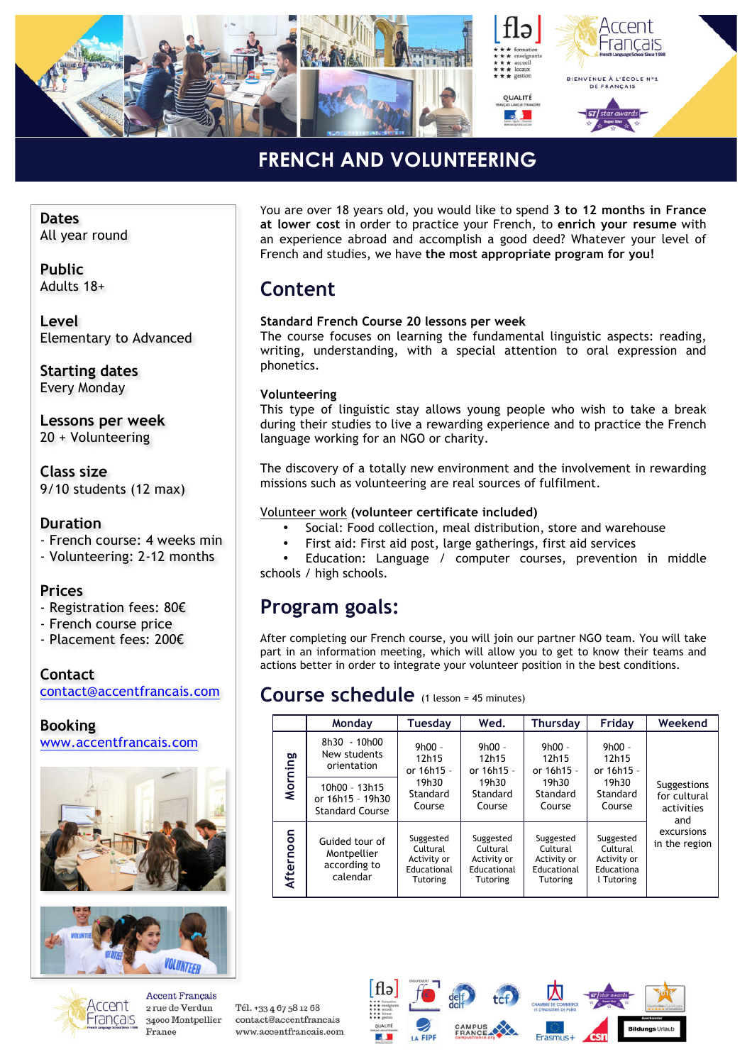

### **FRENCH AND VOLUNTEERING** *»*

**Dates** All year round

**Public** Adults 18+

**Level** Elementary to Advanced

**Starting dates** Every Monday

**Lessons per week** 20 + Volunteering

**Class size** 9/10 students (12 max)

### **Duration**

- French course: 4 weeks min
- Volunteering: 2-12 months

### **Prices**

- Registration fees: 80€
- French course price
- Placement fees: 200€

#### **Contact** contact@accentfrancais.com

### **Booking**

www.accentfrancais.com





You are over 18 years old, you would like to spend **3 to 12 months in France at lower cost** in order to practice your French, to **enrich your resume** with an experience abroad and accomplish a good deed? Whatever your level of French and studies, we have **the most appropriate program for you!**

## **Content**

#### **Standard French Course 20 lessons per week**

The course focuses on learning the fundamental linguistic aspects: reading, writing, understanding, with a special attention to oral expression and phonetics.

#### **Volunteering**

This type of linguistic stay allows young people who wish to take a break during their studies to live a rewarding experience and to practice the French language working for an NGO or charity.

The discovery of a totally new environment and the involvement in rewarding missions such as volunteering are real sources of fulfilment.

#### Volunteer work **(volunteer certificate included)**

- Social: Food collection, meal distribution, store and warehouse
- First aid: First aid post, large gatherings, first aid services

Education: Language / computer courses, prevention in middle schools / high schools.

## **Program goals:**

After completing our French course, you will join our partner NGO team. You will take part in an information meeting, which will allow you to get to know their teams and actions better in order to integrate your volunteer position in the best conditions.

### **Course schedule** (1 lesson = 45 minutes)

|           | Monday                                                      | Tuesday                                                                | Wed.                                                                   | Thursday                                                        | Friday                                                           | Weekend                                          |  |
|-----------|-------------------------------------------------------------|------------------------------------------------------------------------|------------------------------------------------------------------------|-----------------------------------------------------------------|------------------------------------------------------------------|--------------------------------------------------|--|
| Morning   | 8h30 - 10h00<br>New students<br>orientation                 | $9h00 -$<br>12h15<br>or 16h15 -<br>19h30<br>Standard<br>Course         | $9h00 -$<br>12h15<br>or 16h15 -<br>19h30                               | $9h00 -$<br>12h15<br>or 16h15 -<br>19h30                        | $9h00 -$<br>12h15<br>or 16h15 -<br>19h30                         |                                                  |  |
|           | 10h00 - 13h15<br>or 16h15 - 19h30<br><b>Standard Course</b> |                                                                        | Standard<br>Course                                                     | Standard<br>Course                                              | Standard<br>Course                                               | Suggestions<br>for cultural<br>activities<br>and |  |
| Afternoon | Guided tour of<br>Montpellier<br>according to<br>calendar   | Suggested<br>Cultural<br>Activity or<br>Educational<br><b>Tutoring</b> | Suggested<br>Cultural<br>Activity or<br>Educational<br><b>Tutoring</b> | Suggested<br>Cultural<br>Activity or<br>Educational<br>Tutoring | Suggested<br>Cultural<br>Activity or<br>Educationa<br>l Tutoring | excursions<br>in the region                      |  |



**Accent Francais** 2 rue de Verdun 34000 Montpellier France

Tél. +33 4 67 58 12 68 contact@accentfrancais www.accentfrancais.com